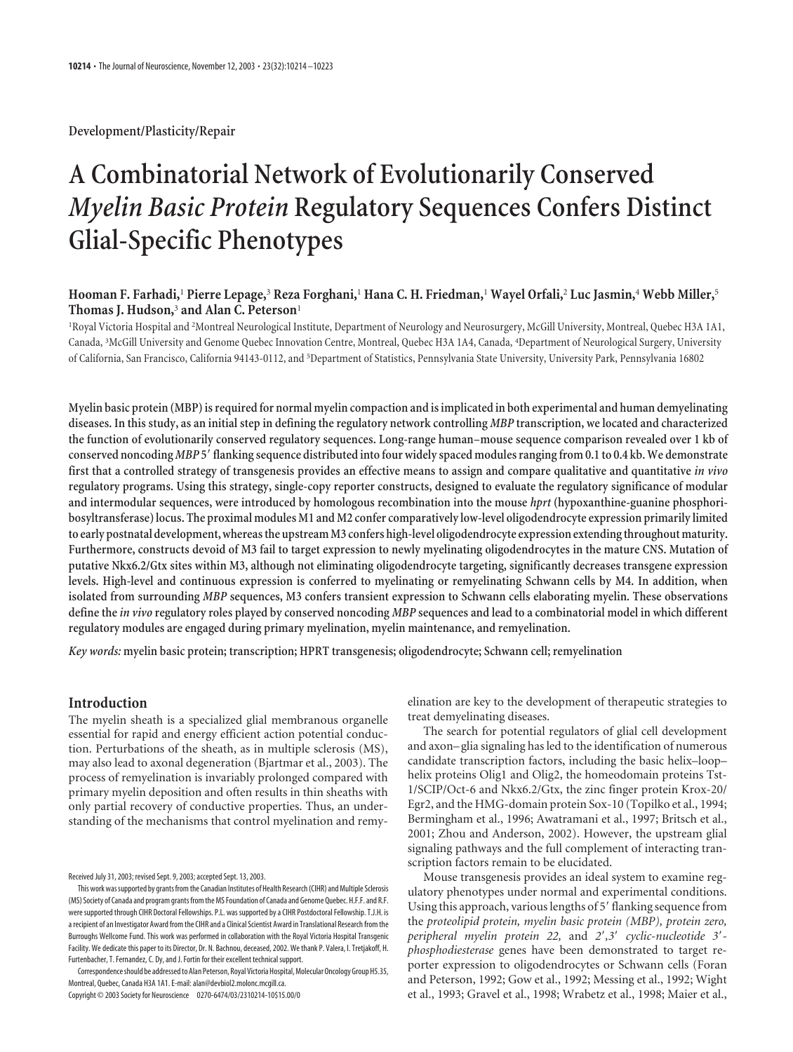**Development/Plasticity/Repair**

# **A Combinatorial Network of Evolutionarily Conserved** *Myelin Basic Protein* **Regulatory Sequences Confers Distinct Glial-Specific Phenotypes**

# **Hooman F. Farhadi,**<sup>1</sup> **Pierre Lepage,**<sup>3</sup> **Reza Forghani,**<sup>1</sup> **Hana C. H. Friedman,**<sup>1</sup> **Wayel Orfali,**<sup>2</sup> **Luc Jasmin,**<sup>4</sup> **Webb Miller,**<sup>5</sup> **Thomas J. Hudson,**<sup>3</sup> **and Alan C. Peterson**<sup>1</sup>

1 Royal Victoria Hospital and <sup>2</sup> Montreal Neurological Institute, Department of Neurology and Neurosurgery, McGill University, Montreal, Quebec H3A 1A1, Canada, <sup>3</sup> McGill University and Genome Quebec Innovation Centre, Montreal, Quebec H3A 1A4, Canada, <sup>4</sup> Department of Neurological Surgery, University of California, San Francisco, California 94143-0112, and <sup>5</sup> Department of Statistics, Pennsylvania State University, University Park, Pennsylvania 16802

**Myelin basic protein (MBP) is required for normal myelin compaction and is implicated in both experimental and human demyelinating diseases. In this study, as an initial step in defining the regulatory network controlling** *MBP* **transcription, we located and characterized the function of evolutionarily conserved regulatory sequences. Long-range human–mouse sequence comparison revealed over 1 kb of conserved noncoding***MBP* **5flanking sequence distributed into four widely spaced modules ranging from 0.1 to 0.4 kb. We demonstrate first that a controlled strategy of transgenesis provides an effective means to assign and compare qualitative and quantitative** *in vivo* **regulatory programs. Using this strategy, single-copy reporter constructs, designed to evaluate the regulatory significance of modular and intermodular sequences, were introduced by homologous recombination into the mouse** *hprt* **(hypoxanthine-guanine phosphoribosyltransferase) locus. The proximal modules M1 and M2 confer comparatively low-level oligodendrocyte expression primarily limited to early postnatal development, whereas the upstream M3 confers high-level oligodendrocyte expression extending throughout maturity. Furthermore, constructs devoid of M3 fail to target expression to newly myelinating oligodendrocytes in the mature CNS. Mutation of putative Nkx6.2/Gtx sites within M3, although not eliminating oligodendrocyte targeting, significantly decreases transgene expression levels. High-level and continuous expression is conferred to myelinating or remyelinating Schwann cells by M4. In addition, when isolated from surrounding** *MBP* **sequences, M3 confers transient expression to Schwann cells elaborating myelin. These observations define the** *in vivo* **regulatory roles played by conserved noncoding** *MBP* **sequences and lead to a combinatorial model in which different regulatory modules are engaged during primary myelination, myelin maintenance, and remyelination.**

*Key words:* **myelin basic protein; transcription; HPRT transgenesis; oligodendrocyte; Schwann cell; remyelination**

# **Introduction**

The myelin sheath is a specialized glial membranous organelle essential for rapid and energy efficient action potential conduction. Perturbations of the sheath, as in multiple sclerosis (MS), may also lead to axonal degeneration (Bjartmar et al., 2003). The process of remyelination is invariably prolonged compared with primary myelin deposition and often results in thin sheaths with only partial recovery of conductive properties. Thus, an understanding of the mechanisms that control myelination and remy-

Received July 31, 2003; revised Sept. 9, 2003; accepted Sept. 13, 2003.

This work was supported by grants from the Canadian Institutes of Health Research (CIHR) and Multiple Sclerosis (MS) Society of Canada and program grants from the MS Foundation of Canada and Genome Quebec. H.F.F. and R.F. were supported through CIHR Doctoral Fellowships. P.L. was supported by a CIHR Postdoctoral Fellowship. T.J.H. is a recipient of an Investigator Award from the CIHR and a Clinical Scientist Award in Translational Research from the Burroughs Wellcome Fund. This work was performed in collaboration with the Royal Victoria Hospital Transgenic Facility. We dedicate this paper to its Director, Dr. N. Bachnou, deceased, 2002. We thank P. Valera, I. Tretjakoff, H. Furtenbacher, T. Fernandez, C. Dy, and J. Fortin for their excellent technical support.

Correspondence should be addressed to Alan Peterson, Royal Victoria Hospital, Molecular Oncology Group H5.35, Montreal, Quebec, Canada H3A 1A1. E-mail: alan@devbiol2.molonc.mcgill.ca.

Copyright © 2003 Society for Neuroscience 0270-6474/03/2310214-10\$15.00/0

elination are key to the development of therapeutic strategies to treat demyelinating diseases.

The search for potential regulators of glial cell development and axon– glia signaling has led to the identification of numerous candidate transcription factors, including the basic helix–loop– helix proteins Olig1 and Olig2, the homeodomain proteins Tst-1/SCIP/Oct-6 and Nkx6.2/Gtx, the zinc finger protein Krox-20/ Egr2, and the HMG-domain protein Sox-10 (Topilko et al., 1994; Bermingham et al., 1996; Awatramani et al., 1997; Britsch et al., 2001; Zhou and Anderson, 2002). However, the upstream glial signaling pathways and the full complement of interacting transcription factors remain to be elucidated.

Mouse transgenesis provides an ideal system to examine regulatory phenotypes under normal and experimental conditions. Using this approach, various lengths of 5' flanking sequence from the *proteolipid protein, myelin basic protein (MBP), protein zero, peripheral myelin protein 22,* and *2,3 cyclic-nucleotide 3 phosphodiesterase* genes have been demonstrated to target reporter expression to oligodendrocytes or Schwann cells (Foran and Peterson, 1992; Gow et al., 1992; Messing et al., 1992; Wight et al., 1993; Gravel et al., 1998; Wrabetz et al., 1998; Maier et al.,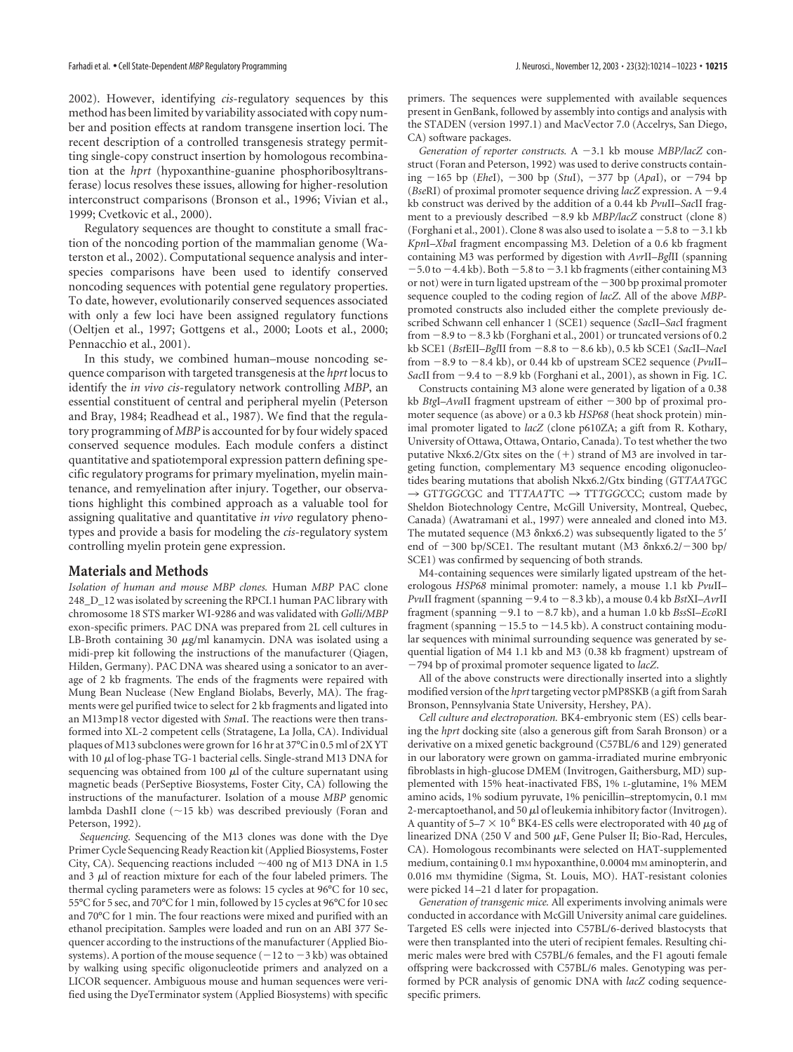2002). However, identifying *cis*-regulatory sequences by this method has been limited by variability associated with copy number and position effects at random transgene insertion loci. The recent description of a controlled transgenesis strategy permitting single-copy construct insertion by homologous recombination at the *hprt* (hypoxanthine-guanine phosphoribosyltransferase) locus resolves these issues, allowing for higher-resolution interconstruct comparisons (Bronson et al., 1996; Vivian et al., 1999; Cvetkovic et al., 2000).

Regulatory sequences are thought to constitute a small fraction of the noncoding portion of the mammalian genome (Waterston et al., 2002). Computational sequence analysis and interspecies comparisons have been used to identify conserved noncoding sequences with potential gene regulatory properties. To date, however, evolutionarily conserved sequences associated with only a few loci have been assigned regulatory functions (Oeltjen et al., 1997; Gottgens et al., 2000; Loots et al., 2000; Pennacchio et al., 2001).

In this study, we combined human–mouse noncoding sequence comparison with targeted transgenesis at the *hprt* locus to identify the *in vivo cis*-regulatory network controlling *MBP*, an essential constituent of central and peripheral myelin (Peterson and Bray, 1984; Readhead et al., 1987). We find that the regulatory programming of *MBP* is accounted for by four widely spaced conserved sequence modules. Each module confers a distinct quantitative and spatiotemporal expression pattern defining specific regulatory programs for primary myelination, myelin maintenance, and remyelination after injury. Together, our observations highlight this combined approach as a valuable tool for assigning qualitative and quantitative *in vivo* regulatory phenotypes and provide a basis for modeling the *cis*-regulatory system controlling myelin protein gene expression.

# **Materials and Methods**

*Isolation of human and mouse MBP clones.* Human *MBP* PAC clone 248\_D\_12 was isolated by screening the RPCI.1 human PAC library with chromosome 18 STS marker WI-9286 and was validated with *Golli/MBP* exon-specific primers. PAC DNA was prepared from 2L cell cultures in LB-Broth containing 30  $\mu$ g/ml kanamycin. DNA was isolated using a midi-prep kit following the instructions of the manufacturer (Qiagen, Hilden, Germany). PAC DNA was sheared using a sonicator to an average of 2 kb fragments. The ends of the fragments were repaired with Mung Bean Nuclease (New England Biolabs, Beverly, MA). The fragments were gel purified twice to select for 2 kb fragments and ligated into an M13mp18 vector digested with *Sma*I. The reactions were then transformed into XL-2 competent cells (Stratagene, La Jolla, CA). Individual plaques of M13 subclones were grown for 16 hr at 37°C in 0.5 ml of 2X YT with 10  $\mu$ l of log-phase TG-1 bacterial cells. Single-strand M13 DNA for sequencing was obtained from 100  $\mu$ l of the culture supernatant using magnetic beads (PerSeptive Biosystems, Foster City, CA) following the instructions of the manufacturer. Isolation of a mouse *MBP* genomic lambda DashII clone (~15 kb) was described previously (Foran and Peterson, 1992).

*Sequencing.* Sequencing of the M13 clones was done with the Dye Primer Cycle Sequencing Ready Reaction kit (Applied Biosystems, Foster City, CA). Sequencing reactions included  $\sim$  400 ng of M13 DNA in 1.5 and  $3 \mu$ l of reaction mixture for each of the four labeled primers. The thermal cycling parameters were as folows: 15 cycles at 96°C for 10 sec, 55°C for 5 sec, and 70°C for 1 min, followed by 15 cycles at 96°C for 10 sec and 70°C for 1 min. The four reactions were mixed and purified with an ethanol precipitation. Samples were loaded and run on an ABI 377 Sequencer according to the instructions of the manufacturer (Applied Biosystems). A portion of the mouse sequence  $(-12 \text{ to } -3 \text{ kb})$  was obtained by walking using specific oligonucleotide primers and analyzed on a LICOR sequencer. Ambiguous mouse and human sequences were verified using the DyeTerminator system (Applied Biosystems) with specific primers. The sequences were supplemented with available sequences present in GenBank, followed by assembly into contigs and analysis with the STADEN (version 1997.1) and MacVector 7.0 (Accelrys, San Diego, CA) software packages.

*Generation of reporter constructs.* A −3.1 kb mouse *MBP*/lacZ construct (Foran and Peterson, 1992) was used to derive constructs containing 165 bp (*Ehe*I), 300 bp (*Stu*I), 377 bp (*Apa*I), or 794 bp (*BseRI*) of proximal promoter sequence driving *lacZ* expression. A  $-9.4$ kb construct was derived by the addition of a 0.44 kb *Pvu*II–*Sac*II fragment to a previously described -8.9 kb *MBP/lacZ* construct (clone 8) (Forghani et al., 2001). Clone 8 was also used to isolate a  $-5.8$  to  $-3.1$  kb *Kpn*I–*Xba*I fragment encompassing M3. Deletion of a 0.6 kb fragment containing M3 was performed by digestion with *Avr*II–*Bgl*II (spanning  $-5.0$  to  $-4.4$  kb). Both  $-5.8$  to  $-3.1$  kb fragments (either containing M3 or not) were in turn ligated upstream of the  $-300$  bp proximal promoter sequence coupled to the coding region of *lacZ*. All of the above *MBP*promoted constructs also included either the complete previously described Schwann cell enhancer 1 (SCE1) sequence (*Sac*II–*Sac*I fragment from  $-8.9$  to  $-8.3$  kb (Forghani et al., 2001) or truncated versions of 0.2 kb SCE1 (*BstEII-BglII* from -8.8 to -8.6 kb), 0.5 kb SCE1 (*SacII-NaeI* from 8.9 to 8.4 kb), or 0.44 kb of upstream SCE2 sequence (*Pvu*II– *SacII* from  $-9.4$  to  $-8.9$  kb (Forghani et al., 2001), as shown in Fig. 1*C*.

Constructs containing M3 alone were generated by ligation of a 0.38 kb *BtgI-AvaII* fragment upstream of either -300 bp of proximal promoter sequence (as above) or a 0.3 kb *HSP68* (heat shock protein) minimal promoter ligated to *lacZ* (clone p610ZA; a gift from R. Kothary, University of Ottawa, Ottawa, Ontario, Canada). To test whether the two putative Nkx6.2/Gtx sites on the  $(+)$  strand of M3 are involved in targeting function, complementary M3 sequence encoding oligonucleotides bearing mutations that abolish Nkx6.2/Gtx binding (GT*TAAT*GC → GT*TGGCGC* and TT*TAAT*TC → TT*TGGCCC*; custom made by Sheldon Biotechnology Centre, McGill University, Montreal, Quebec, Canada) (Awatramani et al., 1997) were annealed and cloned into M3. The mutated sequence (M3  $\delta$ nkx6.2) was subsequently ligated to the 5' end of  $-300$  bp/SCE1. The resultant mutant (M3  $\delta$ nkx6.2/ $-300$  bp/ SCE1) was confirmed by sequencing of both strands.

M4-containing sequences were similarly ligated upstream of the heterologous *HSP68* minimal promoter: namely, a mouse 1.1 kb *Pvu*II– *PvuII* fragment (spanning −9.4 to −8.3 kb), a mouse 0.4 kb *BstXI–AvrII* fragment (spanning 9.1 to 8.7 kb), and a human 1.0 kb *Bss*SI–*Eco*RI fragment (spanning  $-15.5$  to  $-14.5$  kb). A construct containing modular sequences with minimal surrounding sequence was generated by sequential ligation of M4 1.1 kb and M3 (0.38 kb fragment) upstream of 794 bp of proximal promoter sequence ligated to *lacZ*.

All of the above constructs were directionally inserted into a slightly modified version of the *hprt*targeting vector pMP8SKB (a gift from Sarah Bronson, Pennsylvania State University, Hershey, PA).

*Cell culture and electroporation.* BK4-embryonic stem (ES) cells bearing the *hprt* docking site (also a generous gift from Sarah Bronson) or a derivative on a mixed genetic background (C57BL/6 and 129) generated in our laboratory were grown on gamma-irradiated murine embryonic fibroblasts in high-glucose DMEM (Invitrogen, Gaithersburg, MD) supplemented with 15% heat-inactivated FBS, 1% L-glutamine, 1% MEM amino acids, 1% sodium pyruvate, 1% penicillin-streptomycin, 0.1 mm 2-mercaptoethanol, and 50  $\mu$ l of leukemia inhibitory factor (Invitrogen). A quantity of 5–7  $\times$  10<sup>6</sup> BK4-ES cells were electroporated with 40  $\mu$ g of linearized DNA (250 V and 500  $\mu$ F, Gene Pulser II; Bio-Rad, Hercules, CA). Homologous recombinants were selected on HAT-supplemented medium, containing 0.1 mm hypoxanthine, 0.0004 mm aminopterin, and 0.016 mM thymidine (Sigma, St. Louis, MO). HAT-resistant colonies were picked 14–21 d later for propagation.

*Generation of transgenic mice.* All experiments involving animals were conducted in accordance with McGill University animal care guidelines. Targeted ES cells were injected into C57BL/6-derived blastocysts that were then transplanted into the uteri of recipient females. Resulting chimeric males were bred with C57BL/6 females, and the F1 agouti female offspring were backcrossed with C57BL/6 males. Genotyping was performed by PCR analysis of genomic DNA with *lacZ* coding sequencespecific primers.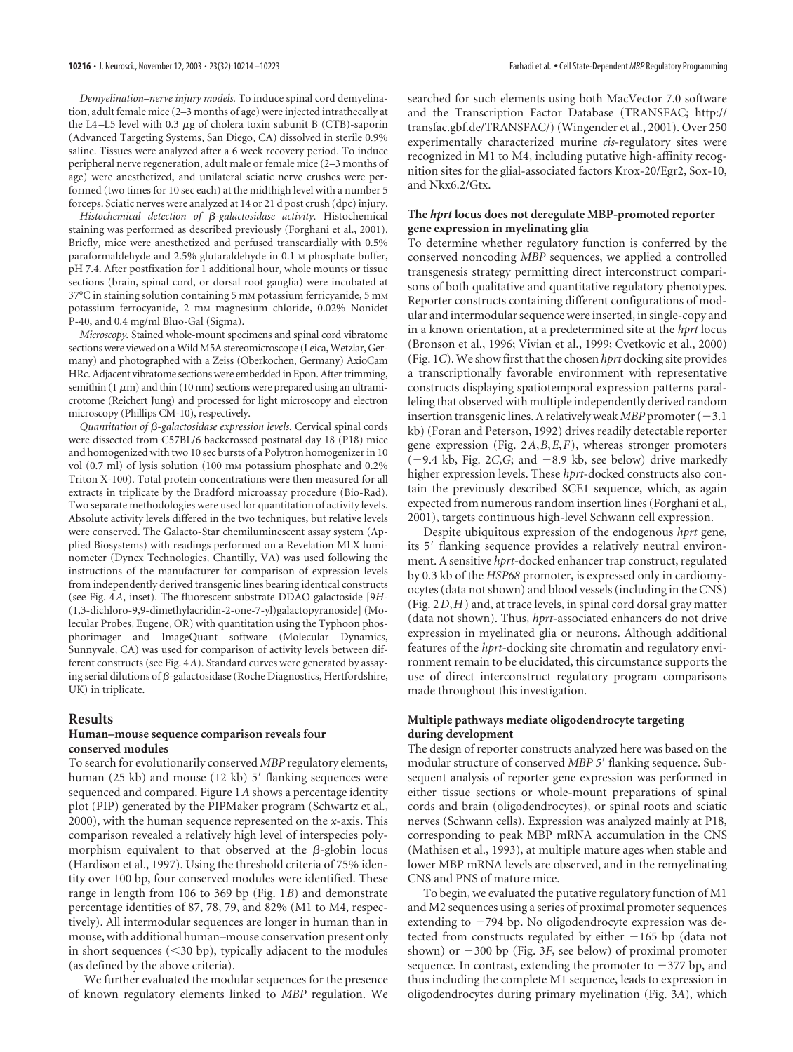*Demyelination–nerve injury models.* To induce spinal cord demyelination, adult female mice (2–3 months of age) were injected intrathecally at the L4–L5 level with 0.3  $\mu$ g of cholera toxin subunit B (CTB)-saporin (Advanced Targeting Systems, San Diego, CA) dissolved in sterile 0.9% saline. Tissues were analyzed after a 6 week recovery period. To induce peripheral nerve regeneration, adult male or female mice (2–3 months of age) were anesthetized, and unilateral sciatic nerve crushes were performed (two times for 10 sec each) at the midthigh level with a number 5 forceps. Sciatic nerves were analyzed at 14 or 21 d post crush (dpc) injury.

Histochemical detection of  $\beta$ -galactosidase activity. Histochemical staining was performed as described previously (Forghani et al., 2001). Briefly, mice were anesthetized and perfused transcardially with 0.5% paraformaldehyde and 2.5% glutaraldehyde in 0.1 M phosphate buffer, pH 7.4. After postfixation for 1 additional hour, whole mounts or tissue sections (brain, spinal cord, or dorsal root ganglia) were incubated at 37°C in staining solution containing 5 mm potassium ferricyanide, 5 mm potassium ferrocyanide, 2 mm magnesium chloride, 0.02% Nonidet P-40, and 0.4 mg/ml Bluo-Gal (Sigma).

*Microscopy.* Stained whole-mount specimens and spinal cord vibratome sections were viewed on a Wild M5A stereomicroscope (Leica, Wetzlar, Germany) and photographed with a Zeiss (Oberkochen, Germany) AxioCam HRc. Adjacent vibratome sections were embedded in Epon. After trimming, semithin (1  $\mu$ m) and thin (10 nm) sections were prepared using an ultramicrotome (Reichert Jung) and processed for light microscopy and electron microscopy (Phillips CM-10), respectively.

*Quantitation of -galactosidase expression levels.* Cervical spinal cords were dissected from C57BL/6 backcrossed postnatal day 18 (P18) mice and homogenized with two 10 sec bursts of a Polytron homogenizer in 10 vol (0.7 ml) of lysis solution (100 mm potassium phosphate and 0.2% Triton X-100). Total protein concentrations were then measured for all extracts in triplicate by the Bradford microassay procedure (Bio-Rad). Two separate methodologies were used for quantitation of activity levels. Absolute activity levels differed in the two techniques, but relative levels were conserved. The Galacto-Star chemiluminescent assay system (Applied Biosystems) with readings performed on a Revelation MLX luminometer (Dynex Technologies, Chantilly, VA) was used following the instructions of the manufacturer for comparison of expression levels from independently derived transgenic lines bearing identical constructs (see Fig. 4*A*, inset). The fluorescent substrate DDAO galactoside [9*H*- (1,3-dichloro-9,9-dimethylacridin-2-one-7-yl)galactopyranoside] (Molecular Probes, Eugene, OR) with quantitation using the Typhoon phosphorimager and ImageQuant software (Molecular Dynamics, Sunnyvale, CA) was used for comparison of activity levels between different constructs (see Fig. 4*A*). Standard curves were generated by assaying serial dilutions of  $\beta$ -galactosidase (Roche Diagnostics, Hertfordshire, UK) in triplicate.

#### **Results**

#### **Human–mouse sequence comparison reveals four conserved modules**

To search for evolutionarily conserved *MBP* regulatory elements, human (25 kb) and mouse (12 kb) 5' flanking sequences were sequenced and compared. Figure 1*A* shows a percentage identity plot (PIP) generated by the PIPMaker program (Schwartz et al., 2000), with the human sequence represented on the *x*-axis. This comparison revealed a relatively high level of interspecies polymorphism equivalent to that observed at the  $\beta$ -globin locus (Hardison et al., 1997). Using the threshold criteria of 75% identity over 100 bp, four conserved modules were identified. These range in length from 106 to 369 bp (Fig. 1*B*) and demonstrate percentage identities of 87, 78, 79, and 82% (M1 to M4, respectively). All intermodular sequences are longer in human than in mouse, with additional human–mouse conservation present only in short sequences  $( $30 \text{ bp}$ ), typically adjacent to the modules$ (as defined by the above criteria).

We further evaluated the modular sequences for the presence of known regulatory elements linked to *MBP* regulation. We

searched for such elements using both MacVector 7.0 software and the Transcription Factor Database (TRANSFAC; http:// transfac.gbf.de/TRANSFAC/) (Wingender et al., 2001). Over 250 experimentally characterized murine *cis*-regulatory sites were recognized in M1 to M4, including putative high-affinity recognition sites for the glial-associated factors Krox-20/Egr2, Sox-10, and Nkx6.2/Gtx.

#### **The** *hprt* **locus does not deregulate MBP-promoted reporter gene expression in myelinating glia**

To determine whether regulatory function is conferred by the conserved noncoding *MBP* sequences, we applied a controlled transgenesis strategy permitting direct interconstruct comparisons of both qualitative and quantitative regulatory phenotypes. Reporter constructs containing different configurations of modular and intermodular sequence were inserted, in single-copy and in a known orientation, at a predetermined site at the *hprt* locus (Bronson et al., 1996; Vivian et al., 1999; Cvetkovic et al., 2000) (Fig. 1*C*). We show first that the chosen *hprt* docking site provides a transcriptionally favorable environment with representative constructs displaying spatiotemporal expression patterns paralleling that observed with multiple independently derived random insertion transgenic lines. A relatively weak *MBP* promoter  $(-3.1)$ kb) (Foran and Peterson, 1992) drives readily detectable reporter gene expression (Fig. 2*A*,*B*,*E*,*F*), whereas stronger promoters  $(-9.4 \text{ kb}, \text{Fig. 2C}, G; \text{ and } -8.9 \text{ kb}, \text{ see below})$  drive markedly higher expression levels. These *hprt*-docked constructs also contain the previously described SCE1 sequence, which, as again expected from numerous random insertion lines (Forghani et al., 2001), targets continuous high-level Schwann cell expression.

Despite ubiquitous expression of the endogenous *hprt* gene, its 5' flanking sequence provides a relatively neutral environment. A sensitive *hprt*-docked enhancer trap construct, regulated by 0.3 kb of the *HSP68* promoter, is expressed only in cardiomyocytes (data not shown) and blood vessels (including in the CNS) (Fig. 2*D*,*H*) and, at trace levels, in spinal cord dorsal gray matter (data not shown). Thus, *hprt*-associated enhancers do not drive expression in myelinated glia or neurons. Although additional features of the *hprt*-docking site chromatin and regulatory environment remain to be elucidated, this circumstance supports the use of direct interconstruct regulatory program comparisons made throughout this investigation.

#### **Multiple pathways mediate oligodendrocyte targeting during development**

The design of reporter constructs analyzed here was based on the modular structure of conserved *MBP 5* flanking sequence. Subsequent analysis of reporter gene expression was performed in either tissue sections or whole-mount preparations of spinal cords and brain (oligodendrocytes), or spinal roots and sciatic nerves (Schwann cells). Expression was analyzed mainly at P18, corresponding to peak MBP mRNA accumulation in the CNS (Mathisen et al., 1993), at multiple mature ages when stable and lower MBP mRNA levels are observed, and in the remyelinating CNS and PNS of mature mice.

To begin, we evaluated the putative regulatory function of M1 and M2 sequences using a series of proximal promoter sequences extending to  $-794$  bp. No oligodendrocyte expression was detected from constructs regulated by either  $-165$  bp (data not shown) or  $-300$  bp (Fig. 3*F*, see below) of proximal promoter sequence. In contrast, extending the promoter to  $-377$  bp, and thus including the complete M1 sequence, leads to expression in oligodendrocytes during primary myelination (Fig. 3*A*), which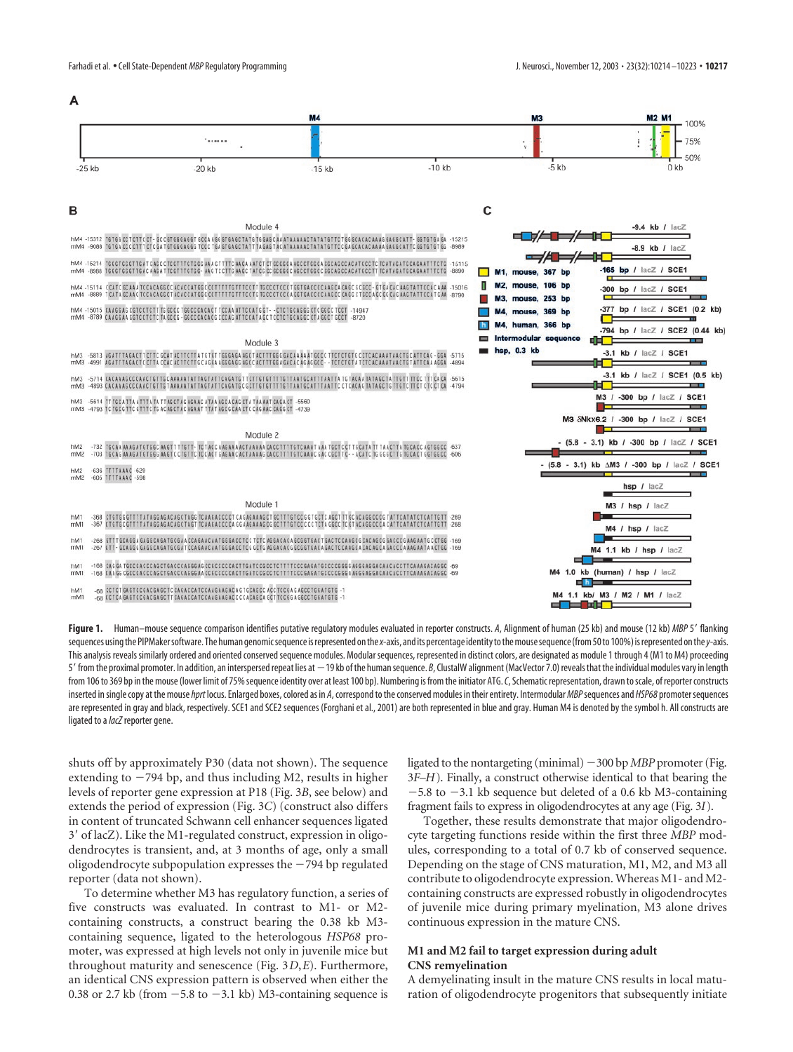A



# B

TGTGC CCT CTTC CT - GC CGTGGGAGGT GCCA GGG GTGAGCTATG TG GAGC AA ATAAAAAC TATATGT TCT GG GCACACAAAG GAGGCATT - GGTGTGA GA<br>TGTGA CCC CTTT CTC GA TGTGGGAGGG TCCC TGA GTGAGCTATTTA GAGTAC ATAAAAAC TATATGT TCC GA GCACACAAAA GAG  $-15312$  $-15215$  $mM4$ TETECE ANA STTTTC AACA AATCT CT GCGGGA ACCCTGGCA CGCAG hM4 -15214 TECCTCCCTTCATCACO mM4 .8988 TCCC -15016 hM4 -15114 CCATC GCAAA TCCACAGGCC ACACCATGGC CCTTTTTGTTTCCTTTGCCCTCCCTGGTGACCCCAAGCACAGC<br>mM4 -8889 TCATAGCAAG TCCACAGGCTACACGATGGG CCTTTTTGTTTCCTG TGCCCTCCCAGGTGACCCCAAGCC CAGG CTGCCA GC GG CAG AAGTATTCCAT GAA -R790 hM4 -15015 CAAGGAG CGTCCTCTTTG GCCC TGGCCCACACTTCCAA ATTCCATG GT - - CTCTGCAGGG CTC GGCC TCCT<br>mM4 -8789 CAAGGAA GGTCCTCTCTA GCCG - GGCCCACACG CCCAGATTCCATA GCTCCTCTGCAGGC CTA GGCTGCCT

Module 4

#### Module 3

-<br>6813 AGATTTAGACTT CTTC GCAT ACTTCTTA TGTGT TGGGAGA AGCT ACTTTGGGGACAA AA AT GCCC TTCTCTGTG CCTCACAAA TAACTGC ATTCAG - GGA<br>-4991 AGATTTAGACTC CTTA CCAC ACTTCTTG CAGGA AGGGAGG AGCC ACTTTGGA GACAC AG AGCC - - TCTCTGTA TCTCA .<br>1971 4. CACAAAGCCCAACTGTTGCAAAAATATTAGTATTCAGATGT TCTTGTGTTTTGTTAATGCATTTAATTATGTACAATATAGCTATTGTTTTCC TTTCACA<br>1999 SACAAAGCCCAACTGTTGTAAAAATATTAGTATTCAGATGC GCTTGTGTTTTGTTAATGCATTTAATTCCTCACAGTATAGCTGTTGTCTTCTCTCCTCA -4 -<br>5614 TT TGCA TTA ATT TA TA TTAGCTAG AGA AC A TA A AGCA CAG CTA TAA AAT CAGA CT<br>-4793 TC TGCG TT CGTT TC TG AC AGCTAC AGA AT TTA TAGCG CA A CTC CAG AAC CAGG CT  $mM3$ 

Module 2 .<br>1932. TGCAA AAAGA TG TGGC AAG TT TTG TT - TCT ACC AAGAAA ACTAAAAA CACC TT TG TCAAT AAA TGC TCCATA TT TAACTTA TGCACC AGTGGCC - 637<br>- 703. TGCAG AAAGA TG TGGG AAG TC CTGT CTGC AGTGAGAAC ACTAAAAG CACCTT TT GTCAAAC GACCGCTTG  $\frac{1}{100}$ **HM2** -636 TITTAAAC -629<br>-605 TITTAAAC -598  $mM$ 

#### Module 1

-368 CTCTCCCT **TATAGGAGACAGCTAGG TCAAGACCCCT CAGAGAAAGCT GC** hM<sup>-</sup> **GTCCC GTGCTC AGCT TT GC ACAGGCCCC TATTCATATC**  $mM1$ CTGTGCGTTTTATAGGAGACAGCTAGTTCAAGACCCCAGGAAGAAAGCGGCTTTGTCCCCCTCTAGGCCTCGTACAGGCCCACATTCATATCTCATTGT1

CCAGGA EAGGCAGATECGAA CCAGAACAATGGGACCTCCTCTCAGGACACAGCGGTGACTEACTCCAAGCG CACAGCG GACCCG AAGAATGCCTGG<br>GCAGGG EAGGCAGATGCGATCCAGAACAATGGGACCTCGGCTGAGGACACGGCGGTGACAGACTCCAAGCA CACAGCA GACCCAAAGAATA ACTGG hM1<br>mM1

- CAS GA TGCCCACCCAGCTGACCCAGGGAS CCGCCCCCACTTGATCCGCCTCT CCCGAGATGCCCCGGGGAGGAGGACAACACCTTCAAAGACAGGC **HM**  $mM1$ GCCCACCCAGCTGACCCAGGGAACCGCCCCCCACTTGATCCGCCTCTTTTCCCGAGATGCCCCGGGAAGGGACAACACCTTCAAAGACAGGC 168 014 0
- .<br>, CCTCT GAGTCCGACGAGCTC CAGACCATCCAAGAAGACGAGTGCAGCC ACC TCCGA GAGCCTGGATGTG 1<br>, CCTCA GAGTCCGACGAGCTT CAGACCATCCAAGAAGACC CCACAGCAGCT TCCGG AGGCCTGGATGTG 1 hM1<br>mM1



**Figure 1.** Human–mouse sequence comparison identifies putative regulatory modules evaluated in reporter constructs. *A*, Alignment of human (25 kb) and mouse (12 kb) *MBP*5 flanking sequences using the PIPMaker software. The human genomic sequence is represented on the*x*-axis, and its percentage identity to the mouse sequence (from 50 to 100%) is represented on the*y*-axis. This analysis reveals similarly ordered and oriented conserved sequence modules. Modular sequences, represented in distinct colors, are designated as module 1 through 4 (M1 to M4) proceeding 5' from the proximal promoter. In addition, an interspersed repeat lies at -19 kb of the human sequence. *B*, ClustalW alignment (MacVector 7.0) reveals that the individual modules vary in length from 106 to 369 bp in the mouse (lower limit of 75% sequence identity over at least 100 bp). Numbering is from the initiator ATG.*C*, Schematic representation, drawn to scale, of reporter constructs inserted in single copy at the mouse*hprt* locus. Enlarged boxes, colored as in *A*, correspond to the conserved modules in their entirety. Intermodular*MBP*sequences and *HSP68*promoter sequences are represented in gray and black, respectively. SCE1 and SCE2 sequences (Forghani et al., 2001) are both represented in blue and gray. Human M4 is denoted by the symbol h. All constructs are ligated to a*lacZ*reporter gene.

shuts off by approximately P30 (data not shown). The sequence extending to  $-794$  bp, and thus including M2, results in higher levels of reporter gene expression at P18 (Fig. 3*B*, see below) and extends the period of expression (Fig. 3*C*) (construct also differs in content of truncated Schwann cell enhancer sequences ligated 3 of lacZ). Like the M1-regulated construct, expression in oligodendrocytes is transient, and, at 3 months of age, only a small oligodendrocyte subpopulation expresses the  $-794$  bp regulated reporter (data not shown).

To determine whether M3 has regulatory function, a series of five constructs was evaluated. In contrast to M1- or M2 containing constructs, a construct bearing the 0.38 kb M3 containing sequence, ligated to the heterologous *HSP68* promoter, was expressed at high levels not only in juvenile mice but throughout maturity and senescence (Fig. 3*D*,*E*). Furthermore, an identical CNS expression pattern is observed when either the 0.38 or 2.7 kb (from  $-5.8$  to  $-3.1$  kb) M3-containing sequence is

ligated to the nontargeting (minimal) 300 bp *MBP* promoter (Fig. 3*F–H*). Finally, a construct otherwise identical to that bearing the  $-5.8$  to  $-3.1$  kb sequence but deleted of a 0.6 kb M3-containing fragment fails to express in oligodendrocytes at any age (Fig. 3*I*).

Together, these results demonstrate that major oligodendrocyte targeting functions reside within the first three *MBP* modules, corresponding to a total of 0.7 kb of conserved sequence. Depending on the stage of CNS maturation, M1, M2, and M3 all contribute to oligodendrocyte expression. Whereas M1- and M2 containing constructs are expressed robustly in oligodendrocytes of juvenile mice during primary myelination, M3 alone drives continuous expression in the mature CNS.

# **M1 and M2 fail to target expression during adult CNS remyelination**

A demyelinating insult in the mature CNS results in local maturation of oligodendrocyte progenitors that subsequently initiate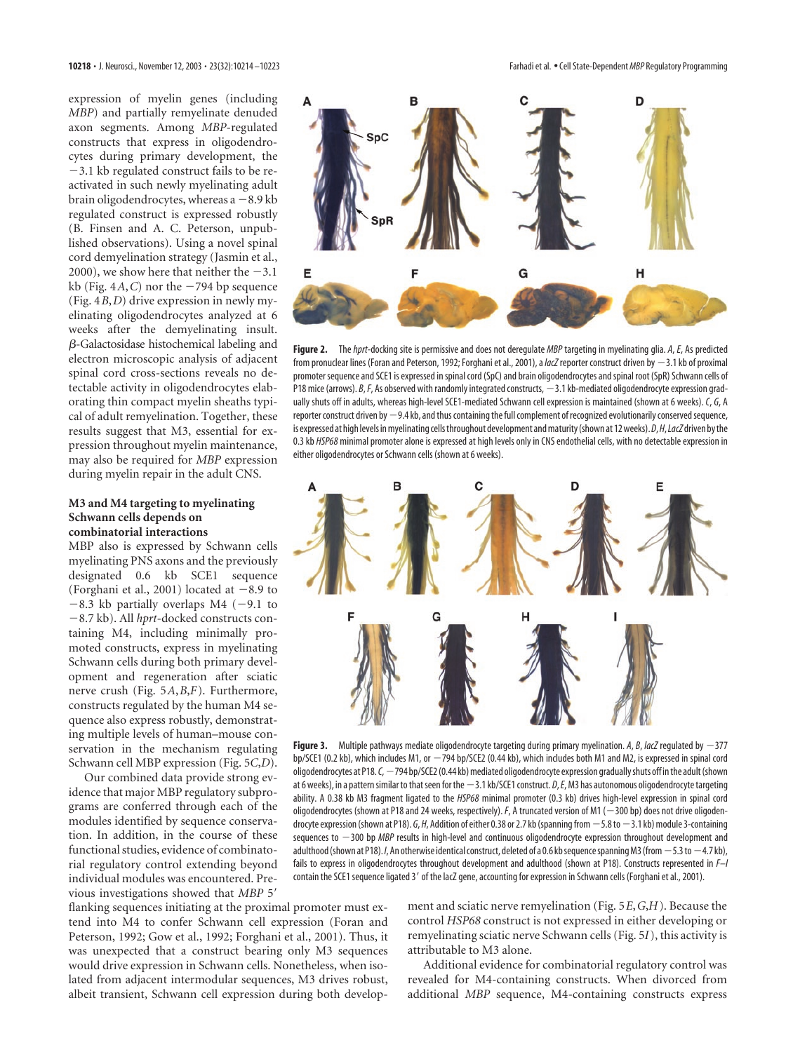expression of myelin genes (including *MBP*) and partially remyelinate denuded axon segments. Among *MBP*-regulated constructs that express in oligodendrocytes during primary development, the 3.1 kb regulated construct fails to be reactivated in such newly myelinating adult brain oligodendrocytes, whereas  $a - 8.9$  kb regulated construct is expressed robustly (B. Finsen and A. C. Peterson, unpublished observations). Using a novel spinal cord demyelination strategy (Jasmin et al., 2000), we show here that neither the  $-3.1$ kb (Fig.  $4A$ , C) nor the  $-794$  bp sequence (Fig. 4*B*,*D*) drive expression in newly myelinating oligodendrocytes analyzed at 6 weeks after the demyelinating insult. -Galactosidase histochemical labeling and electron microscopic analysis of adjacent spinal cord cross-sections reveals no detectable activity in oligodendrocytes elaborating thin compact myelin sheaths typical of adult remyelination. Together, these results suggest that M3, essential for expression throughout myelin maintenance, may also be required for *MBP* expression during myelin repair in the adult CNS.

#### **M3 and M4 targeting to myelinating Schwann cells depends on combinatorial interactions**

MBP also is expressed by Schwann cells myelinating PNS axons and the previously designated 0.6 kb SCE1 sequence (Forghani et al., 2001) located at  $-8.9$  to  $-8.3$  kb partially overlaps M4 (-9.1 to 8.7 kb). All *hprt*-docked constructs containing M4, including minimally promoted constructs, express in myelinating Schwann cells during both primary development and regeneration after sciatic nerve crush (Fig. 5*A*,*B*,*F*). Furthermore, constructs regulated by the human M4 sequence also express robustly, demonstrating multiple levels of human–mouse conservation in the mechanism regulating Schwann cell MBP expression (Fig. 5*C*,*D*).

Our combined data provide strong evidence that major MBP regulatory subprograms are conferred through each of the modules identified by sequence conservation. In addition, in the course of these functional studies, evidence of combinatorial regulatory control extending beyond individual modules was encountered. Previous investigations showed that *MBP* 5

flanking sequences initiating at the proximal promoter must extend into M4 to confer Schwann cell expression (Foran and Peterson, 1992; Gow et al., 1992; Forghani et al., 2001). Thus, it was unexpected that a construct bearing only M3 sequences would drive expression in Schwann cells. Nonetheless, when isolated from adjacent intermodular sequences, M3 drives robust, albeit transient, Schwann cell expression during both develop-



**Figure 2.** The*hprt*-docking site is permissive and does not deregulate *MBP*targeting in myelinating glia. *A*, *E*, As predicted from pronuclear lines (Foran and Peterson, 1992; Forghani et al., 2001), a *lacZ* reporter construct driven by -3.1 kb of proximal promoter sequence and SCE1 is expressed in spinal cord (SpC) and brain oligodendrocytes and spinal root (SpR) Schwann cells of P18 mice (arrows). *B*, *F*, As observed with randomly integrated constructs,  $-3.1$  kb-mediated oligodendrocyte expression gradually shuts off in adults, whereas high-level SCE1-mediated Schwann cell expression is maintained (shown at 6 weeks). *C*, *G*, A reporter construct driven by  $-9.4$  kb, and thus containing the full complement of recognized evolutionarily conserved sequence, is expressed at high levels in myelinating cells throughout development and maturity (shown at 12 weeks).*D*,*H*,*LacZ*driven by the 0.3 kb *HSP68* minimal promoter alone is expressed at high levels only in CNS endothelial cells, with no detectable expression in either oligodendrocytes or Schwann cells (shown at 6 weeks).



**Figure 3.** Multiple pathways mediate oligodendrocyte targeting during primary myelination. A, B, lacZ regulated by  $-377$ bp/SCE1 (0.2 kb), which includes M1, or 794 bp/SCE2 (0.44 kb), which includes both M1 and M2, is expressed in spinal cord oligodendrocytes at P18. C,  $-794$  bp/SCE2 (0.44 kb) mediated oligodendrocyte expression gradually shuts off in the adult (shown at 6 weeks), in a pattern similar to that seen for the  $-3.1$  kb/SCE1 construct. *D*, *E*, M3 has autonomous oligodendrocyte targeting ability. A 0.38 kb M3 fragment ligated to the *HSP68* minimal promoter (0.3 kb) drives high-level expression in spinal cord oligodendrocytes (shown at P18 and 24 weeks, respectively). *F*, A truncated version of M1 (-300 bp) does not drive oligodendrocyte expression (shown at P18). *G*, *H*, Addition of either 0.38 or 2.7 kb (spanning from  $-5.8$  to  $-3.1$  kb) module 3-containing sequences to  $-300$  bp *MBP* results in high-level and continuous oligodendrocyte expression throughout development and adulthood (shown at P18). *I*, An otherwise identical construct, deleted of a 0.6 kb sequence spanning M3 (from  $-5.3$  to  $-4.7$  kb), fails to express in oligodendrocytes throughout development and adulthood (shown at P18). Constructs represented in *F–I* contain the SCE1 sequence ligated 3' of the lacZ gene, accounting for expression in Schwann cells (Forghani et al., 2001).

ment and sciatic nerve remyelination (Fig. 5*E*,*G*,*H*). Because the control *HSP68* construct is not expressed in either developing or remyelinating sciatic nerve Schwann cells (Fig. 5*I*), this activity is attributable to M3 alone.

Additional evidence for combinatorial regulatory control was revealed for M4-containing constructs. When divorced from additional *MBP* sequence, M4-containing constructs express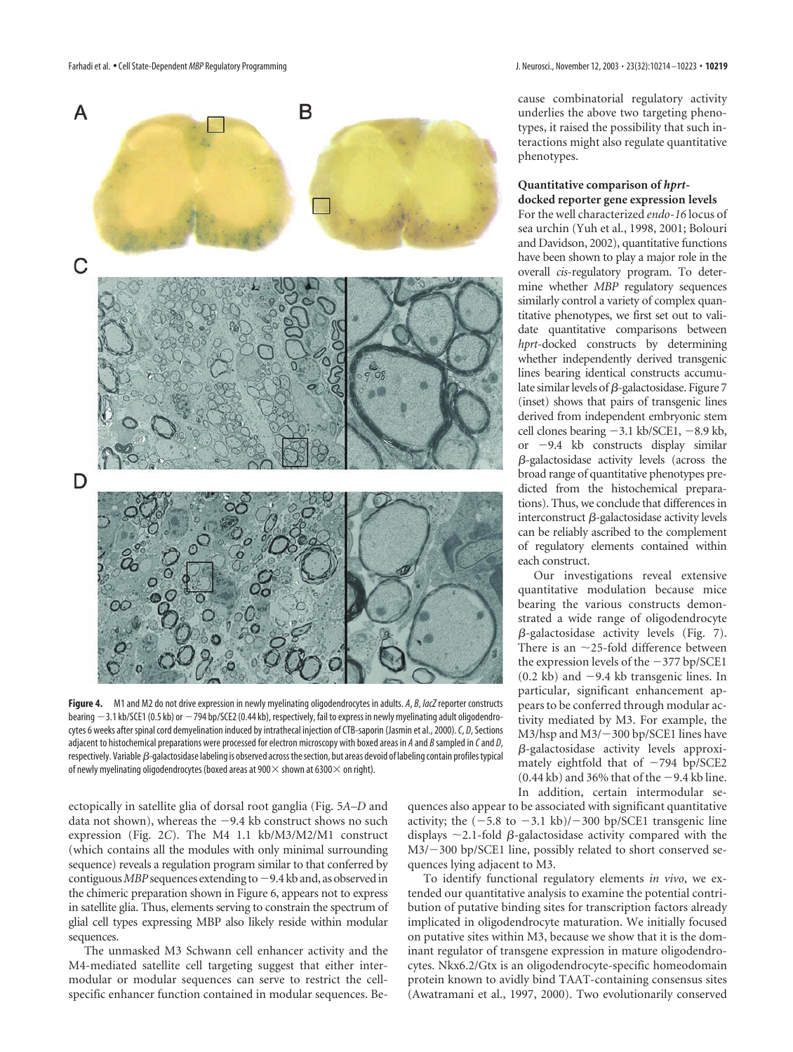

**Figure 4.** M1 and M2 do not drive expression in newly myelinating oligodendrocytes in adults. *A*, *B*, *lacZ*reporter constructs bearing -3.1 kb/SCE1 (0.5 kb) or -794 bp/SCE2 (0.44 kb), respectively, fail to express in newly myelinating adult oligodendrocytes 6 weeks after spinal cord demyelination induced by intrathecal injection of CTB-saporin (Jasmin et al., 2000).*C*, *D*, Sections adjacent to histochemical preparations were processed for electron microscopy with boxed areas in *A* and *B* sampled in *C*and *D*, respectively. Variable  $\beta$ -galactosidase labeling is observed across the section, but areas devoid of labeling contain profiles typical of newly myelinating oligodendrocytes (boxed areas at 900 $\times$  shown at 6300 $\times$  on right).

ectopically in satellite glia of dorsal root ganglia (Fig. 5*A–D* and data not shown), whereas the  $-9.4$  kb construct shows no such expression (Fig. 2*C*). The M4 1.1 kb/M3/M2/M1 construct (which contains all the modules with only minimal surrounding sequence) reveals a regulation program similar to that conferred by contiguous *MBP* sequences extending to  $-9.4$  kb and, as observed in the chimeric preparation shown in Figure 6, appears not to express in satellite glia. Thus, elements serving to constrain the spectrum of glial cell types expressing MBP also likely reside within modular sequences.

The unmasked M3 Schwann cell enhancer activity and the M4-mediated satellite cell targeting suggest that either intermodular or modular sequences can serve to restrict the cellspecific enhancer function contained in modular sequences. Because combinatorial regulatory activity underlies the above two targeting phenotypes, it raised the possibility that such interactions might also regulate quantitative phenotypes.

# **Quantitative comparison of** *hprt***-**

**docked reporter gene expression levels** For the well characterized *endo-16* locus of sea urchin (Yuh et al., 1998, 2001; Bolouri and Davidson, 2002), quantitative functions have been shown to play a major role in the overall *cis*-regulatory program. To determine whether *MBP* regulatory sequences similarly control a variety of complex quantitative phenotypes, we first set out to validate quantitative comparisons between *hprt*-docked constructs by determining whether independently derived transgenic lines bearing identical constructs accumulate similar levels of  $\beta$ -galactosidase. Figure 7 (inset) shows that pairs of transgenic lines derived from independent embryonic stem cell clones bearing  $-3.1$  kb/SCE1,  $-8.9$  kb, or 9.4 kb constructs display similar  $\beta$ -galactosidase activity levels (across the broad range of quantitative phenotypes predicted from the histochemical preparations). Thus, we conclude that differences in interconstruct  $\beta$ -galactosidase activity levels can be reliably ascribed to the complement of regulatory elements contained within each construct.

Our investigations reveal extensive quantitative modulation because mice bearing the various constructs demonstrated a wide range of oligodendrocyte  $\beta$ -galactosidase activity levels (Fig. 7). There is an  $\sim$ 25-fold difference between the expression levels of the  $-377$  bp/SCE1  $(0.2 \text{ kb})$  and  $-9.4 \text{ kb}$  transgenic lines. In particular, significant enhancement appears to be conferred through modular activity mediated by M3. For example, the  $M3/hsp$  and  $M3/-300$  bp/SCE1 lines have -galactosidase activity levels approximately eightfold that of  $-794$  bp/SCE2  $(0.44 \text{ kb})$  and 36% that of the  $-9.4 \text{ kb}$  line. In addition, certain intermodular se-

quences also appear to be associated with significant quantitative activity; the  $(-5.8 \text{ to } -3.1 \text{ kb})$ / $-300 \text{ bp/SCE1}$  transgenic line displays  $\sim$  2.1-fold  $\beta$ -galactosidase activity compared with the  $M3/-300$  bp/SCE1 line, possibly related to short conserved sequences lying adjacent to M3.

To identify functional regulatory elements *in vivo*, we extended our quantitative analysis to examine the potential contribution of putative binding sites for transcription factors already implicated in oligodendrocyte maturation. We initially focused on putative sites within M3, because we show that it is the dominant regulator of transgene expression in mature oligodendrocytes. Nkx6.2/Gtx is an oligodendrocyte-specific homeodomain protein known to avidly bind TAAT-containing consensus sites (Awatramani et al., 1997, 2000). Two evolutionarily conserved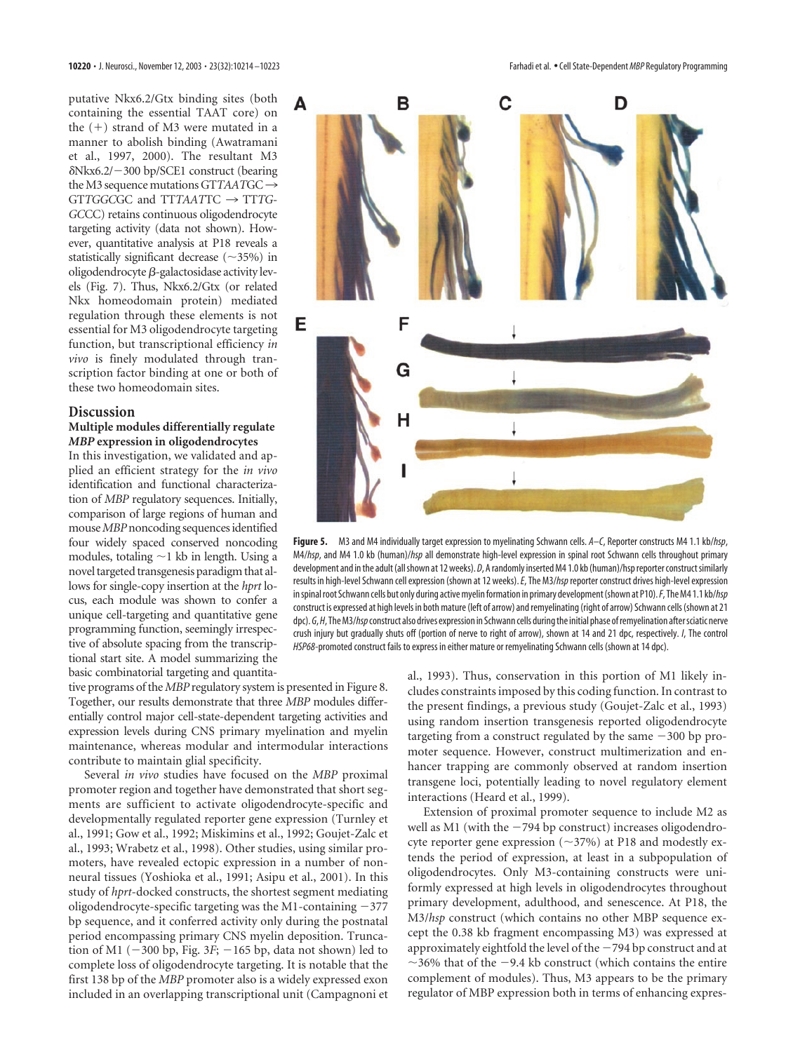putative Nkx6.2/Gtx binding sites (both containing the essential TAAT core) on the  $(+)$  strand of M3 were mutated in a manner to abolish binding (Awatramani et al., 1997, 2000). The resultant M3 -Nkx6.2/300 bp/SCE1 construct (bearing the M3 sequence mutations  $GTTAATGC \rightarrow$ GT*TGGC*GC and TT*TAAT*TC 3 TT*TG-GC*CC) retains continuous oligodendrocyte targeting activity (data not shown). However, quantitative analysis at P18 reveals a statistically significant decrease  $(\sim]35\%)$  in oligodendrocyte  $\beta$ -galactosidase activity levels (Fig. 7). Thus, Nkx6.2/Gtx (or related Nkx homeodomain protein) mediated regulation through these elements is not essential for M3 oligodendrocyte targeting function, but transcriptional efficiency *in vivo* is finely modulated through transcription factor binding at one or both of these two homeodomain sites.

#### **Discussion**

# **Multiple modules differentially regulate** *MBP* **expression in oligodendrocytes**

In this investigation, we validated and applied an efficient strategy for the *in vivo* identification and functional characterization of *MBP* regulatory sequences. Initially, comparison of large regions of human and mouse*MBP*noncoding sequences identified four widely spaced conserved noncoding modules, totaling  $\sim$ 1 kb in length. Using a novel targeted transgenesis paradigm that allows for single-copy insertion at the *hprt* locus, each module was shown to confer a unique cell-targeting and quantitative gene programming function, seemingly irrespective of absolute spacing from the transcriptional start site. A model summarizing the basic combinatorial targeting and quantita-

tive programs of the *MBP* regulatory system is presented in Figure 8. Together, our results demonstrate that three *MBP* modules differentially control major cell-state-dependent targeting activities and expression levels during CNS primary myelination and myelin maintenance, whereas modular and intermodular interactions contribute to maintain glial specificity.

Several *in vivo* studies have focused on the *MBP* proximal promoter region and together have demonstrated that short segments are sufficient to activate oligodendrocyte-specific and developmentally regulated reporter gene expression (Turnley et al., 1991; Gow et al., 1992; Miskimins et al., 1992; Goujet-Zalc et al., 1993; Wrabetz et al., 1998). Other studies, using similar promoters, have revealed ectopic expression in a number of nonneural tissues (Yoshioka et al., 1991; Asipu et al., 2001). In this study of *hprt*-docked constructs, the shortest segment mediating oligodendrocyte-specific targeting was the M1-containing  $-377$ bp sequence, and it conferred activity only during the postnatal period encompassing primary CNS myelin deposition. Truncation of M1 ( $-300$  bp, Fig.  $3F$ ;  $-165$  bp, data not shown) led to complete loss of oligodendrocyte targeting. It is notable that the first 138 bp of the *MBP* promoter also is a widely expressed exon included in an overlapping transcriptional unit (Campagnoni et



**Figure 5.** M3 and M4 individually target expression to myelinating Schwann cells. *A–C*, Reporter constructs M4 1.1 kb/*hsp*, M4/*hsp*, and M4 1.0 kb (human)/*hsp* all demonstrate high-level expression in spinal root Schwann cells throughout primary development and in the adult (all shown at 12 weeks). *D*, A randomly inserted M4 1.0 kb (human)/hsp reporter construct similarly results in high-level Schwann cell expression (shown at 12 weeks).*E*, The M3/*hsp*reporter construct drives high-level expression in spinal root Schwann cells but only during active myelin formation in primary development (shown at P10).*F*, The M4 1.1 kb/*hsp* construct is expressed at high levels in both mature (left of arrow) and remyelinating (right of arrow) Schwann cells (shown at 21 dpc).  $G$ , *H*, The M3/*hsp* construct also drives expression in Schwann cells during the initial phase of remyelination after sciatic nerve crush injury but gradually shuts off (portion of nerve to right of arrow), shown at 14 and 21 dpc, respectively. *I*, The control *HSP68*-promoted construct fails to express in either mature or remyelinating Schwann cells (shown at 14 dpc).

al., 1993). Thus, conservation in this portion of M1 likely includes constraints imposed by this coding function. In contrast to the present findings, a previous study (Goujet-Zalc et al., 1993) using random insertion transgenesis reported oligodendrocyte targeting from a construct regulated by the same  $-300$  bp promoter sequence. However, construct multimerization and enhancer trapping are commonly observed at random insertion transgene loci, potentially leading to novel regulatory element interactions (Heard et al., 1999).

Extension of proximal promoter sequence to include M2 as well as M1 (with the  $-794$  bp construct) increases oligodendrocyte reporter gene expression  $(\sim]37\%)$  at P18 and modestly extends the period of expression, at least in a subpopulation of oligodendrocytes. Only M3-containing constructs were uniformly expressed at high levels in oligodendrocytes throughout primary development, adulthood, and senescence. At P18, the M3/*hsp* construct (which contains no other MBP sequence except the 0.38 kb fragment encompassing M3) was expressed at approximately eightfold the level of the  $-794$  bp construct and at  $\sim$ 36% that of the  $-9.4$  kb construct (which contains the entire complement of modules). Thus, M3 appears to be the primary regulator of MBP expression both in terms of enhancing expres-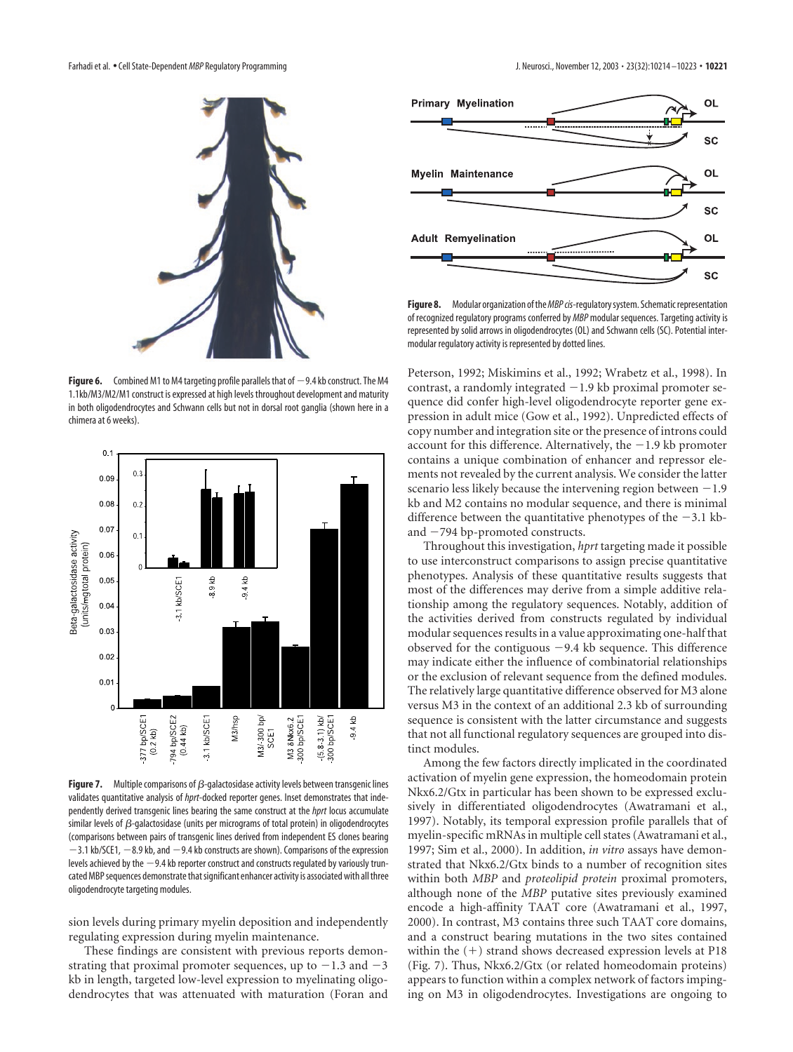

**Figure 6.** Combined M1 to M4 targeting profile parallels that of  $-9.4$  kb construct. The M4 1.1kb/M3/M2/M1 construct is expressed at high levels throughout development and maturity in both oligodendrocytes and Schwann cells but not in dorsal root ganglia (shown here in a chimera at 6 weeks).



**Figure 7.** Multiple comparisons of  $\beta$ -galactosidase activity levels between transgenic lines validates quantitative analysis of *hprt*-docked reporter genes. Inset demonstrates that independently derived transgenic lines bearing the same construct at the *hprt* locus accumulate similar levels of  $\beta$ -galactosidase (units per micrograms of total protein) in oligodendrocytes (comparisons between pairs of transgenic lines derived from independent ES clones bearing  $-3.1$  kb/SCE1,  $-8.9$  kb, and  $-9.4$  kb constructs are shown). Comparisons of the expression levels achieved by the  $-9.4$  kb reporter construct and constructs regulated by variously truncated MBP sequences demonstrate that significant enhancer activity is associated with all three oligodendrocyte targeting modules.

sion levels during primary myelin deposition and independently regulating expression during myelin maintenance.

These findings are consistent with previous reports demonstrating that proximal promoter sequences, up to  $-1.3$  and  $-3$ kb in length, targeted low-level expression to myelinating oligodendrocytes that was attenuated with maturation (Foran and



**Figure 8.** Modular organization of the*MBP cis*-regulatory system. Schematic representation of recognized regulatory programs conferred by *MBP* modular sequences. Targeting activity is represented by solid arrows in oligodendrocytes (OL) and Schwann cells (SC). Potential intermodular regulatory activity is represented by dotted lines.

Peterson, 1992; Miskimins et al., 1992; Wrabetz et al., 1998). In contrast, a randomly integrated  $-1.9$  kb proximal promoter sequence did confer high-level oligodendrocyte reporter gene expression in adult mice (Gow et al., 1992). Unpredicted effects of copy number and integration site or the presence of introns could account for this difference. Alternatively, the  $-1.9$  kb promoter contains a unique combination of enhancer and repressor elements not revealed by the current analysis. We consider the latter scenario less likely because the intervening region between  $-1.9$ kb and M2 contains no modular sequence, and there is minimal difference between the quantitative phenotypes of the  $-3.1$  kband  $-794$  bp-promoted constructs.

Throughout this investigation, *hprt* targeting made it possible to use interconstruct comparisons to assign precise quantitative phenotypes. Analysis of these quantitative results suggests that most of the differences may derive from a simple additive relationship among the regulatory sequences. Notably, addition of the activities derived from constructs regulated by individual modular sequences results in a value approximating one-half that observed for the contiguous  $-9.4$  kb sequence. This difference may indicate either the influence of combinatorial relationships or the exclusion of relevant sequence from the defined modules. The relatively large quantitative difference observed for M3 alone versus M3 in the context of an additional 2.3 kb of surrounding sequence is consistent with the latter circumstance and suggests that not all functional regulatory sequences are grouped into distinct modules.

Among the few factors directly implicated in the coordinated activation of myelin gene expression, the homeodomain protein Nkx6.2/Gtx in particular has been shown to be expressed exclusively in differentiated oligodendrocytes (Awatramani et al., 1997). Notably, its temporal expression profile parallels that of myelin-specific mRNAs in multiple cell states (Awatramani et al., 1997; Sim et al., 2000). In addition, *in vitro* assays have demonstrated that Nkx6.2/Gtx binds to a number of recognition sites within both *MBP* and *proteolipid protein* proximal promoters, although none of the *MBP* putative sites previously examined encode a high-affinity TAAT core (Awatramani et al., 1997, 2000). In contrast, M3 contains three such TAAT core domains, and a construct bearing mutations in the two sites contained within the  $(+)$  strand shows decreased expression levels at P18 (Fig. 7). Thus, Nkx6.2/Gtx (or related homeodomain proteins) appears to function within a complex network of factors impinging on M3 in oligodendrocytes. Investigations are ongoing to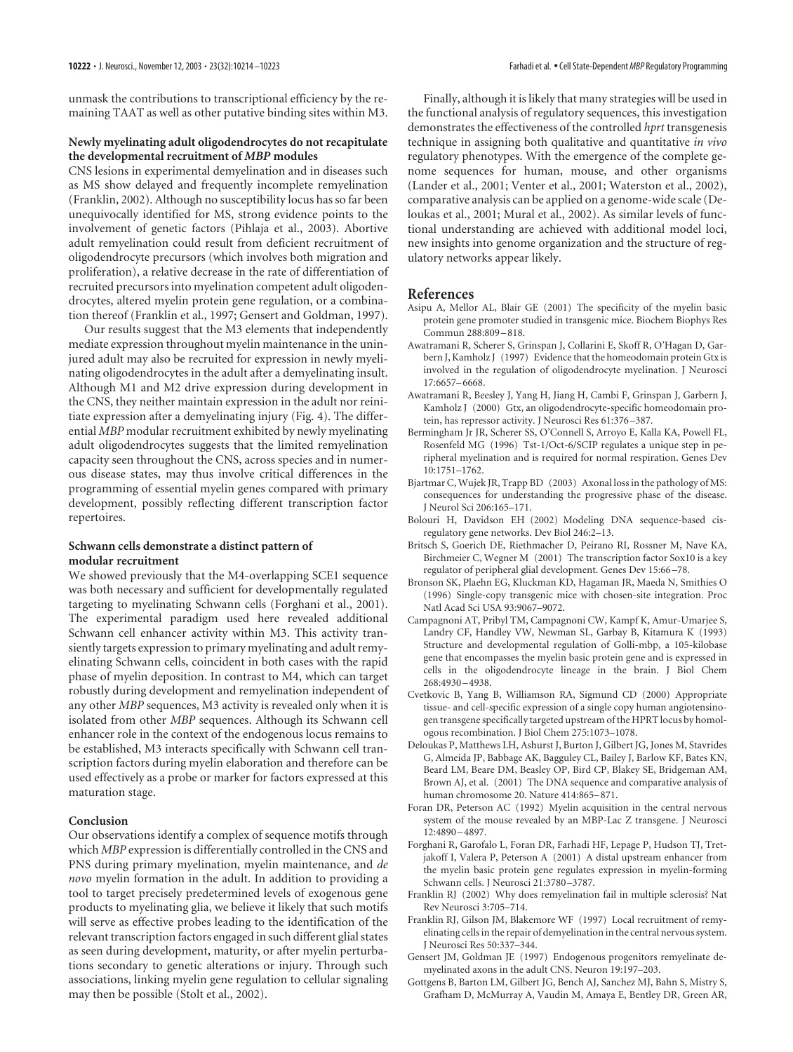unmask the contributions to transcriptional efficiency by the remaining TAAT as well as other putative binding sites within M3.

#### **Newly myelinating adult oligodendrocytes do not recapitulate the developmental recruitment of** *MBP* **modules**

CNS lesions in experimental demyelination and in diseases such as MS show delayed and frequently incomplete remyelination (Franklin, 2002). Although no susceptibility locus has so far been unequivocally identified for MS, strong evidence points to the involvement of genetic factors (Pihlaja et al., 2003). Abortive adult remyelination could result from deficient recruitment of oligodendrocyte precursors (which involves both migration and proliferation), a relative decrease in the rate of differentiation of recruited precursors into myelination competent adult oligodendrocytes, altered myelin protein gene regulation, or a combination thereof (Franklin et al., 1997; Gensert and Goldman, 1997).

Our results suggest that the M3 elements that independently mediate expression throughout myelin maintenance in the uninjured adult may also be recruited for expression in newly myelinating oligodendrocytes in the adult after a demyelinating insult. Although M1 and M2 drive expression during development in the CNS, they neither maintain expression in the adult nor reinitiate expression after a demyelinating injury (Fig. 4). The differential *MBP* modular recruitment exhibited by newly myelinating adult oligodendrocytes suggests that the limited remyelination capacity seen throughout the CNS, across species and in numerous disease states, may thus involve critical differences in the programming of essential myelin genes compared with primary development, possibly reflecting different transcription factor repertoires.

#### **Schwann cells demonstrate a distinct pattern of modular recruitment**

We showed previously that the M4-overlapping SCE1 sequence was both necessary and sufficient for developmentally regulated targeting to myelinating Schwann cells (Forghani et al., 2001). The experimental paradigm used here revealed additional Schwann cell enhancer activity within M3. This activity transiently targets expression to primary myelinating and adult remyelinating Schwann cells, coincident in both cases with the rapid phase of myelin deposition. In contrast to M4, which can target robustly during development and remyelination independent of any other *MBP* sequences, M3 activity is revealed only when it is isolated from other *MBP* sequences. Although its Schwann cell enhancer role in the context of the endogenous locus remains to be established, M3 interacts specifically with Schwann cell transcription factors during myelin elaboration and therefore can be used effectively as a probe or marker for factors expressed at this maturation stage.

#### **Conclusion**

Our observations identify a complex of sequence motifs through which *MBP* expression is differentially controlled in the CNS and PNS during primary myelination, myelin maintenance, and *de novo* myelin formation in the adult. In addition to providing a tool to target precisely predetermined levels of exogenous gene products to myelinating glia, we believe it likely that such motifs will serve as effective probes leading to the identification of the relevant transcription factors engaged in such different glial states as seen during development, maturity, or after myelin perturbations secondary to genetic alterations or injury. Through such associations, linking myelin gene regulation to cellular signaling may then be possible (Stolt et al., 2002).

Finally, although it is likely that many strategies will be used in the functional analysis of regulatory sequences, this investigation demonstrates the effectiveness of the controlled *hprt* transgenesis technique in assigning both qualitative and quantitative *in vivo* regulatory phenotypes. With the emergence of the complete genome sequences for human, mouse, and other organisms (Lander et al., 2001; Venter et al., 2001; Waterston et al., 2002), comparative analysis can be applied on a genome-wide scale (Deloukas et al., 2001; Mural et al., 2002). As similar levels of functional understanding are achieved with additional model loci, new insights into genome organization and the structure of regulatory networks appear likely.

#### **References**

- Asipu A, Mellor AL, Blair GE (2001) The specificity of the myelin basic protein gene promoter studied in transgenic mice. Biochem Biophys Res Commun 288:809–818.
- Awatramani R, Scherer S, Grinspan J, Collarini E, Skoff R, O'Hagan D, Garbern J, Kamholz J (1997) Evidence that the homeodomain protein Gtx is involved in the regulation of oligodendrocyte myelination. J Neurosci 17:6657–6668.
- Awatramani R, Beesley J, Yang H, Jiang H, Cambi F, Grinspan J, Garbern J, Kamholz J (2000) Gtx, an oligodendrocyte-specific homeodomain protein, has repressor activity. J Neurosci Res 61:376–387.
- Bermingham Jr JR, Scherer SS, O'Connell S, Arroyo E, Kalla KA, Powell FL, Rosenfeld MG (1996) Tst-1/Oct-6/SCIP regulates a unique step in peripheral myelination and is required for normal respiration. Genes Dev 10:1751–1762.
- Bjartmar C, Wujek JR, Trapp BD (2003) Axonal loss in the pathology of MS: consequences for understanding the progressive phase of the disease. J Neurol Sci 206:165–171.
- Bolouri H, Davidson EH (2002) Modeling DNA sequence-based cisregulatory gene networks. Dev Biol 246:2–13.
- Britsch S, Goerich DE, Riethmacher D, Peirano RI, Rossner M, Nave KA, Birchmeier C, Wegner M (2001) The transcription factor Sox10 is a key regulator of peripheral glial development. Genes Dev 15:66–78.
- Bronson SK, Plaehn EG, Kluckman KD, Hagaman JR, Maeda N, Smithies O (1996) Single-copy transgenic mice with chosen-site integration. Proc Natl Acad Sci USA 93:9067–9072.
- Campagnoni AT, Pribyl TM, Campagnoni CW, Kampf K, Amur-Umarjee S, Landry CF, Handley VW, Newman SL, Garbay B, Kitamura K (1993) Structure and developmental regulation of Golli-mbp, a 105-kilobase gene that encompasses the myelin basic protein gene and is expressed in cells in the oligodendrocyte lineage in the brain. J Biol Chem 268:4930–4938.
- Cvetkovic B, Yang B, Williamson RA, Sigmund CD (2000) Appropriate tissue- and cell-specific expression of a single copy human angiotensinogen transgene specifically targeted upstream of the HPRT locus by homologous recombination. J Biol Chem 275:1073–1078.
- Deloukas P, Matthews LH, Ashurst J, Burton J, Gilbert JG, Jones M, Stavrides G, Almeida JP, Babbage AK, Bagguley CL, Bailey J, Barlow KF, Bates KN, Beard LM, Beare DM, Beasley OP, Bird CP, Blakey SE, Bridgeman AM, Brown AJ, et al. (2001) The DNA sequence and comparative analysis of human chromosome 20. Nature 414:865–871.
- Foran DR, Peterson AC (1992) Myelin acquisition in the central nervous system of the mouse revealed by an MBP-Lac Z transgene. J Neurosci 12:4890–4897.
- Forghani R, Garofalo L, Foran DR, Farhadi HF, Lepage P, Hudson TJ, Tretjakoff I, Valera P, Peterson A (2001) A distal upstream enhancer from the myelin basic protein gene regulates expression in myelin-forming Schwann cells. J Neurosci 21:3780–3787.
- Franklin RJ (2002) Why does remyelination fail in multiple sclerosis? Nat Rev Neurosci 3:705–714.
- Franklin RJ, Gilson JM, Blakemore WF (1997) Local recruitment of remyelinating cells in the repair of demyelination in the central nervous system. J Neurosci Res 50:337–344.
- Gensert JM, Goldman JE (1997) Endogenous progenitors remyelinate demyelinated axons in the adult CNS. Neuron 19:197–203.
- Gottgens B, Barton LM, Gilbert JG, Bench AJ, Sanchez MJ, Bahn S, Mistry S, Grafham D, McMurray A, Vaudin M, Amaya E, Bentley DR, Green AR,